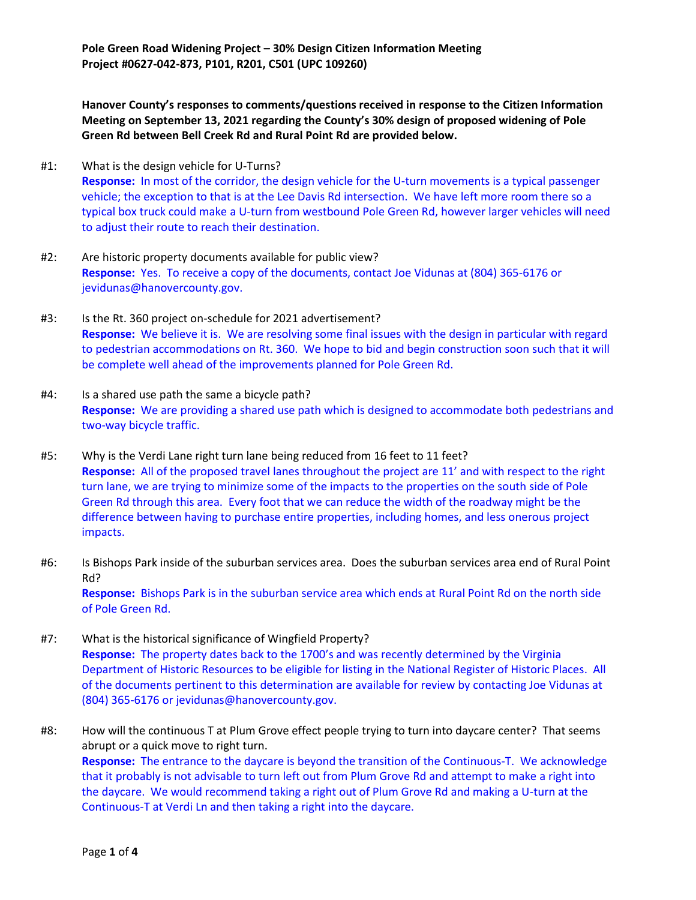**Pole Green Road Widening Project – 30% Design Citizen Information Meeting Project #0627-042-873, P101, R201, C501 (UPC 109260)**

**Hanover County's responses to comments/questions received in response to the Citizen Information Meeting on September 13, 2021 regarding the County's 30% design of proposed widening of Pole Green Rd between Bell Creek Rd and Rural Point Rd are provided below.**

- #1: What is the design vehicle for U-Turns? **Response:** In most of the corridor, the design vehicle for the U-turn movements is a typical passenger vehicle; the exception to that is at the Lee Davis Rd intersection. We have left more room there so a typical box truck could make a U-turn from westbound Pole Green Rd, however larger vehicles will need to adjust their route to reach their destination.
- #2: Are historic property documents available for public view? **Response:** Yes. To receive a copy of the documents, contact Joe Vidunas at (804) 365-6176 or jevidunas@hanovercounty.gov.
- #3: Is the Rt. 360 project on-schedule for 2021 advertisement? **Response:** We believe it is. We are resolving some final issues with the design in particular with regard to pedestrian accommodations on Rt. 360. We hope to bid and begin construction soon such that it will be complete well ahead of the improvements planned for Pole Green Rd.
- #4: Is a shared use path the same a bicycle path? **Response:** We are providing a shared use path which is designed to accommodate both pedestrians and two-way bicycle traffic.
- #5: Why is the Verdi Lane right turn lane being reduced from 16 feet to 11 feet? **Response:** All of the proposed travel lanes throughout the project are 11' and with respect to the right turn lane, we are trying to minimize some of the impacts to the properties on the south side of Pole Green Rd through this area. Every foot that we can reduce the width of the roadway might be the difference between having to purchase entire properties, including homes, and less onerous project impacts.
- #6: Is Bishops Park inside of the suburban services area. Does the suburban services area end of Rural Point Rd? **Response:** Bishops Park is in the suburban service area which ends at Rural Point Rd on the north side of Pole Green Rd.
- #7: What is the historical significance of Wingfield Property? **Response:** The property dates back to the 1700's and was recently determined by the Virginia Department of Historic Resources to be eligible for listing in the National Register of Historic Places. All of the documents pertinent to this determination are available for review by contacting Joe Vidunas at (804) 365-6176 or jevidunas@hanovercounty.gov.
- #8: How will the continuous T at Plum Grove effect people trying to turn into daycare center? That seems abrupt or a quick move to right turn. **Response:** The entrance to the daycare is beyond the transition of the Continuous-T. We acknowledge that it probably is not advisable to turn left out from Plum Grove Rd and attempt to make a right into the daycare. We would recommend taking a right out of Plum Grove Rd and making a U-turn at the Continuous-T at Verdi Ln and then taking a right into the daycare.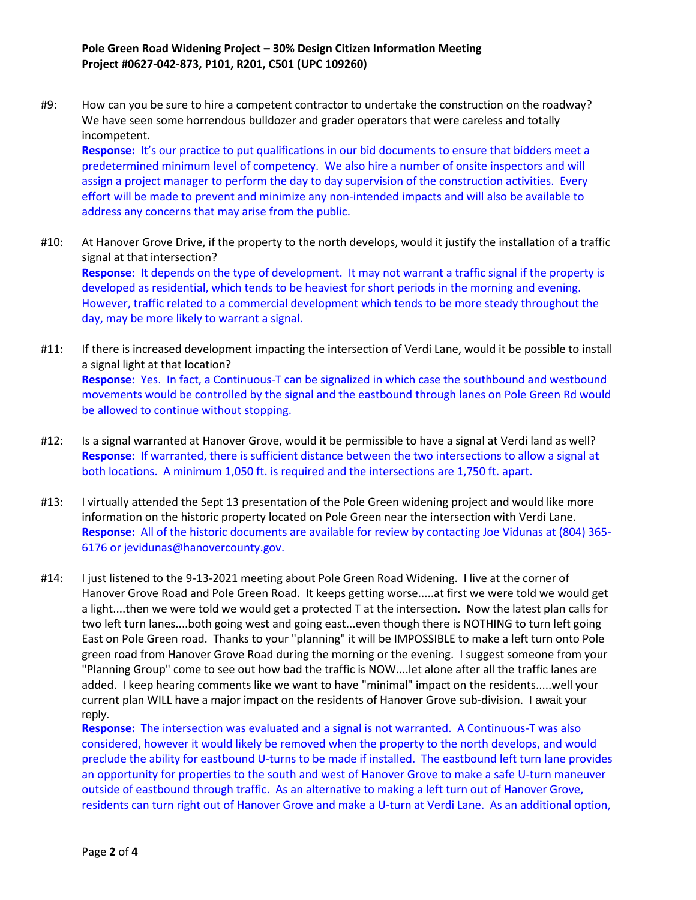## **Pole Green Road Widening Project – 30% Design Citizen Information Meeting Project #0627-042-873, P101, R201, C501 (UPC 109260)**

#9: How can you be sure to hire a competent contractor to undertake the construction on the roadway? We have seen some horrendous bulldozer and grader operators that were careless and totally incompetent.

**Response:** It's our practice to put qualifications in our bid documents to ensure that bidders meet a predetermined minimum level of competency. We also hire a number of onsite inspectors and will assign a project manager to perform the day to day supervision of the construction activities. Every effort will be made to prevent and minimize any non-intended impacts and will also be available to address any concerns that may arise from the public.

- #10: At Hanover Grove Drive, if the property to the north develops, would it justify the installation of a traffic signal at that intersection? **Response:** It depends on the type of development. It may not warrant a traffic signal if the property is developed as residential, which tends to be heaviest for short periods in the morning and evening. However, traffic related to a commercial development which tends to be more steady throughout the day, may be more likely to warrant a signal.
- #11: If there is increased development impacting the intersection of Verdi Lane, would it be possible to install a signal light at that location? **Response:** Yes. In fact, a Continuous-T can be signalized in which case the southbound and westbound movements would be controlled by the signal and the eastbound through lanes on Pole Green Rd would be allowed to continue without stopping.
- #12: Is a signal warranted at Hanover Grove, would it be permissible to have a signal at Verdi land as well? **Response:** If warranted, there is sufficient distance between the two intersections to allow a signal at both locations. A minimum 1,050 ft. is required and the intersections are 1,750 ft. apart.
- #13: I virtually attended the Sept 13 presentation of the Pole Green widening project and would like more information on the historic property located on Pole Green near the intersection with Verdi Lane. **Response:** All of the historic documents are available for review by contacting Joe Vidunas at (804) 365- 6176 or jevidunas@hanovercounty.gov.
- #14: I just listened to the 9-13-2021 meeting about Pole Green Road Widening. I live at the corner of Hanover Grove Road and Pole Green Road. It keeps getting worse.....at first we were told we would get a light....then we were told we would get a protected T at the intersection. Now the latest plan calls for two left turn lanes....both going west and going east...even though there is NOTHING to turn left going East on Pole Green road. Thanks to your "planning" it will be IMPOSSIBLE to make a left turn onto Pole green road from Hanover Grove Road during the morning or the evening. I suggest someone from your "Planning Group" come to see out how bad the traffic is NOW....let alone after all the traffic lanes are added. I keep hearing comments like we want to have "minimal" impact on the residents.....well your current plan WILL have a major impact on the residents of Hanover Grove sub-division. I await your reply.

**Response:** The intersection was evaluated and a signal is not warranted. A Continuous-T was also considered, however it would likely be removed when the property to the north develops, and would preclude the ability for eastbound U-turns to be made if installed. The eastbound left turn lane provides an opportunity for properties to the south and west of Hanover Grove to make a safe U-turn maneuver outside of eastbound through traffic. As an alternative to making a left turn out of Hanover Grove, residents can turn right out of Hanover Grove and make a U-turn at Verdi Lane. As an additional option,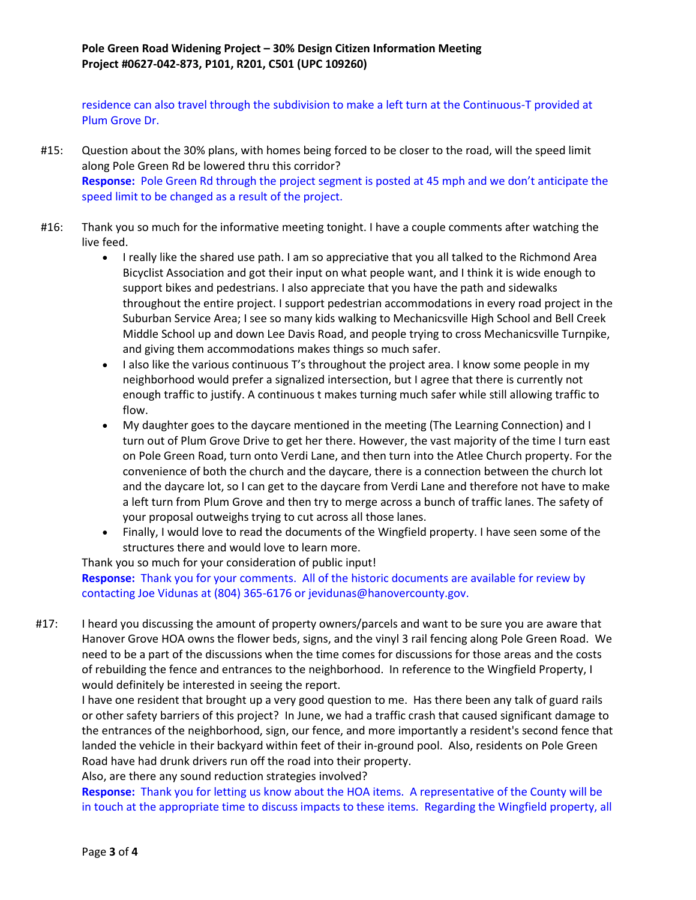residence can also travel through the subdivision to make a left turn at the Continuous-T provided at Plum Grove Dr.

- #15: Question about the 30% plans, with homes being forced to be closer to the road, will the speed limit along Pole Green Rd be lowered thru this corridor? **Response:** Pole Green Rd through the project segment is posted at 45 mph and we don't anticipate the speed limit to be changed as a result of the project.
- #16: Thank you so much for the informative meeting tonight. I have a couple comments after watching the live feed.
	- I really like the shared use path. I am so appreciative that you all talked to the Richmond Area Bicyclist Association and got their input on what people want, and I think it is wide enough to support bikes and pedestrians. I also appreciate that you have the path and sidewalks throughout the entire project. I support pedestrian accommodations in every road project in the Suburban Service Area; I see so many kids walking to Mechanicsville High School and Bell Creek Middle School up and down Lee Davis Road, and people trying to cross Mechanicsville Turnpike, and giving them accommodations makes things so much safer.
	- $\bullet$  I also like the various continuous T's throughout the project area. I know some people in my neighborhood would prefer a signalized intersection, but I agree that there is currently not enough traffic to justify. A continuous t makes turning much safer while still allowing traffic to flow.
	- My daughter goes to the daycare mentioned in the meeting (The Learning Connection) and I turn out of Plum Grove Drive to get her there. However, the vast majority of the time I turn east on Pole Green Road, turn onto Verdi Lane, and then turn into the Atlee Church property. For the convenience of both the church and the daycare, there is a connection between the church lot and the daycare lot, so I can get to the daycare from Verdi Lane and therefore not have to make a left turn from Plum Grove and then try to merge across a bunch of traffic lanes. The safety of your proposal outweighs trying to cut across all those lanes.
	- Finally, I would love to read the documents of the Wingfield property. I have seen some of the structures there and would love to learn more.

Thank you so much for your consideration of public input!

**Response:** Thank you for your comments. All of the historic documents are available for review by contacting Joe Vidunas at (804) 365-6176 or jevidunas@hanovercounty.gov.

#17: I heard you discussing the amount of property owners/parcels and want to be sure you are aware that Hanover Grove HOA owns the flower beds, signs, and the vinyl 3 rail fencing along Pole Green Road. We need to be a part of the discussions when the time comes for discussions for those areas and the costs of rebuilding the fence and entrances to the neighborhood. In reference to the Wingfield Property, I would definitely be interested in seeing the report.

I have one resident that brought up a very good question to me. Has there been any talk of guard rails or other safety barriers of this project? In June, we had a traffic crash that caused significant damage to the entrances of the neighborhood, sign, our fence, and more importantly a resident's second fence that landed the vehicle in their backyard within feet of their in-ground pool. Also, residents on Pole Green Road have had drunk drivers run off the road into their property.

Also, are there any sound reduction strategies involved?

**Response:** Thank you for letting us know about the HOA items. A representative of the County will be in touch at the appropriate time to discuss impacts to these items. Regarding the Wingfield property, all